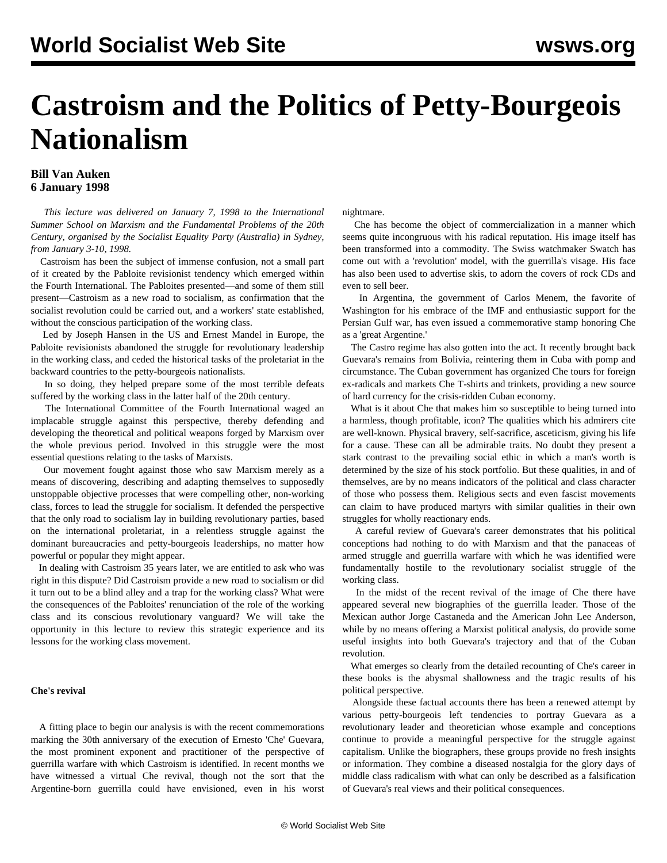# **Castroism and the Politics of Petty-Bourgeois Nationalism**

## **Bill Van Auken 6 January 1998**

 *This lecture was delivered on January 7, 1998 to the International Summer School on Marxism and the Fundamental Problems of the 20th Century, organised by the Socialist Equality Party (Australia) in Sydney, from January 3-10, 1998.*

 Castroism has been the subject of immense confusion, not a small part of it created by the Pabloite revisionist tendency which emerged within the Fourth International. The Pabloites presented—and some of them still present—Castroism as a new road to socialism, as confirmation that the socialist revolution could be carried out, and a workers' state established, without the conscious participation of the working class.

 Led by Joseph Hansen in the US and Ernest Mandel in Europe, the Pabloite revisionists abandoned the struggle for revolutionary leadership in the working class, and ceded the historical tasks of the proletariat in the backward countries to the petty-bourgeois nationalists.

 In so doing, they helped prepare some of the most terrible defeats suffered by the working class in the latter half of the 20th century.

 The International Committee of the Fourth International waged an implacable struggle against this perspective, thereby defending and developing the theoretical and political weapons forged by Marxism over the whole previous period. Involved in this struggle were the most essential questions relating to the tasks of Marxists.

 Our movement fought against those who saw Marxism merely as a means of discovering, describing and adapting themselves to supposedly unstoppable objective processes that were compelling other, non-working class, forces to lead the struggle for socialism. It defended the perspective that the only road to socialism lay in building revolutionary parties, based on the international proletariat, in a relentless struggle against the dominant bureaucracies and petty-bourgeois leaderships, no matter how powerful or popular they might appear.

 In dealing with Castroism 35 years later, we are entitled to ask who was right in this dispute? Did Castroism provide a new road to socialism or did it turn out to be a blind alley and a trap for the working class? What were the consequences of the Pabloites' renunciation of the role of the working class and its conscious revolutionary vanguard? We will take the opportunity in this lecture to review this strategic experience and its lessons for the working class movement.

### **Che's revival**

 A fitting place to begin our analysis is with the recent commemorations marking the 30th anniversary of the execution of Ernesto 'Che' Guevara, the most prominent exponent and practitioner of the perspective of guerrilla warfare with which Castroism is identified. In recent months we have witnessed a virtual Che revival, though not the sort that the Argentine-born guerrilla could have envisioned, even in his worst nightmare.

 Che has become the object of commercialization in a manner which seems quite incongruous with his radical reputation. His image itself has been transformed into a commodity. The Swiss watchmaker Swatch has come out with a 'revolution' model, with the guerrilla's visage. His face has also been used to advertise skis, to adorn the covers of rock CDs and even to sell beer.

 In Argentina, the government of Carlos Menem, the favorite of Washington for his embrace of the IMF and enthusiastic support for the Persian Gulf war, has even issued a commemorative stamp honoring Che as a 'great Argentine.'

 The Castro regime has also gotten into the act. It recently brought back Guevara's remains from Bolivia, reintering them in Cuba with pomp and circumstance. The Cuban government has organized Che tours for foreign ex-radicals and markets Che T-shirts and trinkets, providing a new source of hard currency for the crisis-ridden Cuban economy.

 What is it about Che that makes him so susceptible to being turned into a harmless, though profitable, icon? The qualities which his admirers cite are well-known. Physical bravery, self-sacrifice, asceticism, giving his life for a cause. These can all be admirable traits. No doubt they present a stark contrast to the prevailing social ethic in which a man's worth is determined by the size of his stock portfolio. But these qualities, in and of themselves, are by no means indicators of the political and class character of those who possess them. Religious sects and even fascist movements can claim to have produced martyrs with similar qualities in their own struggles for wholly reactionary ends.

 A careful review of Guevara's career demonstrates that his political conceptions had nothing to do with Marxism and that the panaceas of armed struggle and guerrilla warfare with which he was identified were fundamentally hostile to the revolutionary socialist struggle of the working class.

 In the midst of the recent revival of the image of Che there have appeared several new biographies of the guerrilla leader. Those of the Mexican author Jorge Castaneda and the American John Lee Anderson, while by no means offering a Marxist political analysis, do provide some useful insights into both Guevara's trajectory and that of the Cuban revolution.

 What emerges so clearly from the detailed recounting of Che's career in these books is the abysmal shallowness and the tragic results of his political perspective.

 Alongside these factual accounts there has been a renewed attempt by various petty-bourgeois left tendencies to portray Guevara as a revolutionary leader and theoretician whose example and conceptions continue to provide a meaningful perspective for the struggle against capitalism. Unlike the biographers, these groups provide no fresh insights or information. They combine a diseased nostalgia for the glory days of middle class radicalism with what can only be described as a falsification of Guevara's real views and their political consequences.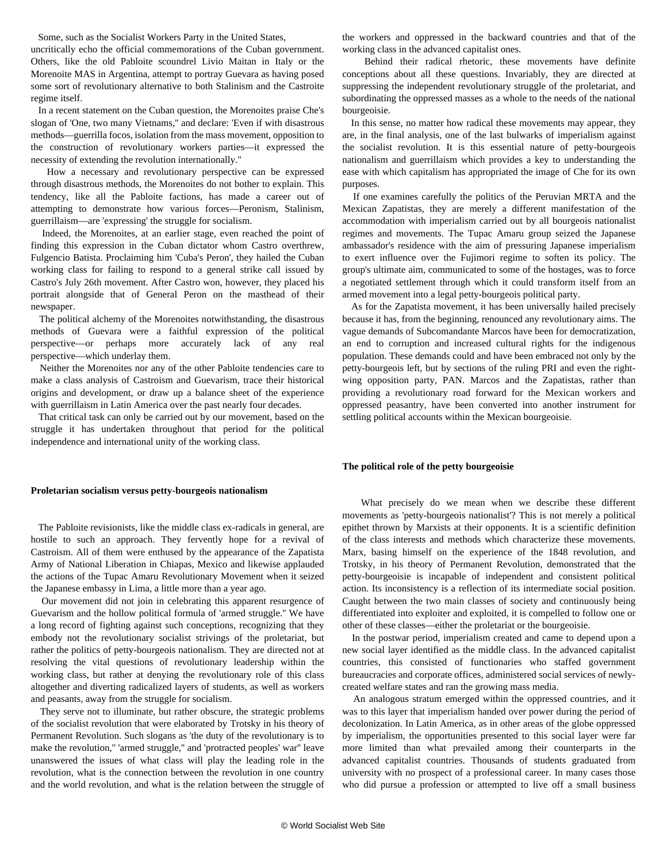Some, such as the Socialist Workers Party in the United States,

uncritically echo the official commemorations of the Cuban government. Others, like the old Pabloite scoundrel Livio Maitan in Italy or the Morenoite MAS in Argentina, attempt to portray Guevara as having posed some sort of revolutionary alternative to both Stalinism and the Castroite regime itself.

 In a recent statement on the Cuban question, the Morenoites praise Che's slogan of 'One, two many Vietnams,'' and declare: 'Even if with disastrous methods—guerrilla focos, isolation from the mass movement, opposition to the construction of revolutionary workers parties—it expressed the necessity of extending the revolution internationally.''

 How a necessary and revolutionary perspective can be expressed through disastrous methods, the Morenoites do not bother to explain. This tendency, like all the Pabloite factions, has made a career out of attempting to demonstrate how various forces—Peronism, Stalinism, guerrillaism—are 'expressing' the struggle for socialism.

 Indeed, the Morenoites, at an earlier stage, even reached the point of finding this expression in the Cuban dictator whom Castro overthrew, Fulgencio Batista. Proclaiming him 'Cuba's Peron', they hailed the Cuban working class for failing to respond to a general strike call issued by Castro's July 26th movement. After Castro won, however, they placed his portrait alongside that of General Peron on the masthead of their newspaper.

 The political alchemy of the Morenoites notwithstanding, the disastrous methods of Guevara were a faithful expression of the political perspective—or perhaps more accurately lack of any real perspective—which underlay them.

 Neither the Morenoites nor any of the other Pabloite tendencies care to make a class analysis of Castroism and Guevarism, trace their historical origins and development, or draw up a balance sheet of the experience with guerrillaism in Latin America over the past nearly four decades.

 That critical task can only be carried out by our movement, based on the struggle it has undertaken throughout that period for the political independence and international unity of the working class.

#### **Proletarian socialism versus petty-bourgeois nationalism**

 The Pabloite revisionists, like the middle class ex-radicals in general, are hostile to such an approach. They fervently hope for a revival of Castroism. All of them were enthused by the appearance of the Zapatista Army of National Liberation in Chiapas, Mexico and likewise applauded the actions of the Tupac Amaru Revolutionary Movement when it seized the Japanese embassy in Lima, a little more than a year ago.

 Our movement did not join in celebrating this apparent resurgence of Guevarism and the hollow political formula of 'armed struggle.'' We have a long record of fighting against such conceptions, recognizing that they embody not the revolutionary socialist strivings of the proletariat, but rather the politics of petty-bourgeois nationalism. They are directed not at resolving the vital questions of revolutionary leadership within the working class, but rather at denying the revolutionary role of this class altogether and diverting radicalized layers of students, as well as workers and peasants, away from the struggle for socialism.

 They serve not to illuminate, but rather obscure, the strategic problems of the socialist revolution that were elaborated by Trotsky in his theory of Permanent Revolution. Such slogans as 'the duty of the revolutionary is to make the revolution,'' 'armed struggle,'' and 'protracted peoples' war'' leave unanswered the issues of what class will play the leading role in the revolution, what is the connection between the revolution in one country and the world revolution, and what is the relation between the struggle of the workers and oppressed in the backward countries and that of the working class in the advanced capitalist ones.

 Behind their radical rhetoric, these movements have definite conceptions about all these questions. Invariably, they are directed at suppressing the independent revolutionary struggle of the proletariat, and subordinating the oppressed masses as a whole to the needs of the national bourgeoisie.

 In this sense, no matter how radical these movements may appear, they are, in the final analysis, one of the last bulwarks of imperialism against the socialist revolution. It is this essential nature of petty-bourgeois nationalism and guerrillaism which provides a key to understanding the ease with which capitalism has appropriated the image of Che for its own purposes.

 If one examines carefully the politics of the Peruvian MRTA and the Mexican Zapatistas, they are merely a different manifestation of the accommodation with imperialism carried out by all bourgeois nationalist regimes and movements. The Tupac Amaru group seized the Japanese ambassador's residence with the aim of pressuring Japanese imperialism to exert influence over the Fujimori regime to soften its policy. The group's ultimate aim, communicated to some of the hostages, was to force a negotiated settlement through which it could transform itself from an armed movement into a legal petty-bourgeois political party.

 As for the Zapatista movement, it has been universally hailed precisely because it has, from the beginning, renounced any revolutionary aims. The vague demands of Subcomandante Marcos have been for democratization, an end to corruption and increased cultural rights for the indigenous population. These demands could and have been embraced not only by the petty-bourgeois left, but by sections of the ruling PRI and even the rightwing opposition party, PAN. Marcos and the Zapatistas, rather than providing a revolutionary road forward for the Mexican workers and oppressed peasantry, have been converted into another instrument for settling political accounts within the Mexican bourgeoisie.

#### **The political role of the petty bourgeoisie**

 What precisely do we mean when we describe these different movements as 'petty-bourgeois nationalist'? This is not merely a political epithet thrown by Marxists at their opponents. It is a scientific definition of the class interests and methods which characterize these movements. Marx, basing himself on the experience of the 1848 revolution, and Trotsky, in his theory of Permanent Revolution, demonstrated that the petty-bourgeoisie is incapable of independent and consistent political action. Its inconsistency is a reflection of its intermediate social position. Caught between the two main classes of society and continuously being differentiated into exploiter and exploited, it is compelled to follow one or other of these classes—either the proletariat or the bourgeoisie.

 In the postwar period, imperialism created and came to depend upon a new social layer identified as the middle class. In the advanced capitalist countries, this consisted of functionaries who staffed government bureaucracies and corporate offices, administered social services of newlycreated welfare states and ran the growing mass media.

 An analogous stratum emerged within the oppressed countries, and it was to this layer that imperialism handed over power during the period of decolonization. In Latin America, as in other areas of the globe oppressed by imperialism, the opportunities presented to this social layer were far more limited than what prevailed among their counterparts in the advanced capitalist countries. Thousands of students graduated from university with no prospect of a professional career. In many cases those who did pursue a profession or attempted to live off a small business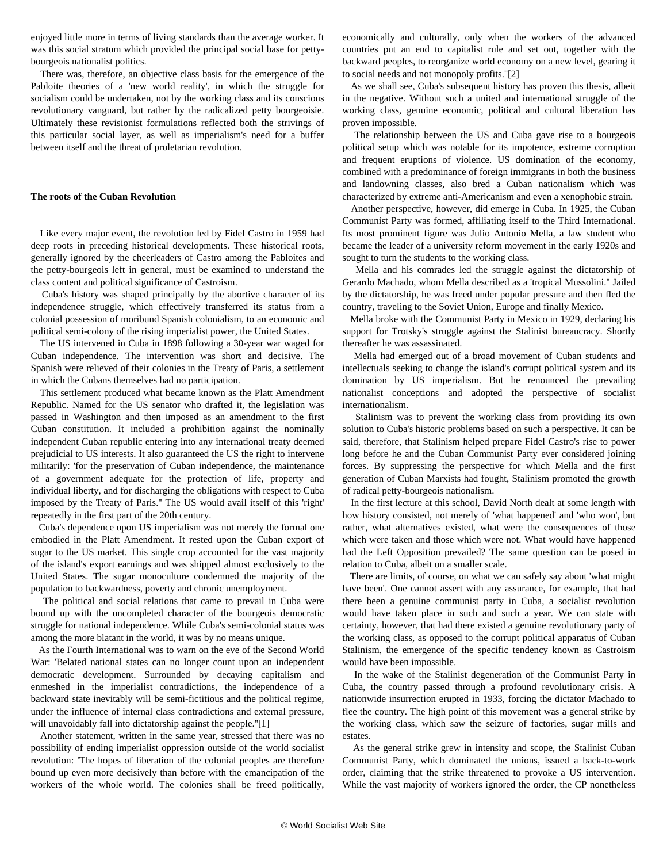enjoyed little more in terms of living standards than the average worker. It was this social stratum which provided the principal social base for pettybourgeois nationalist politics.

 There was, therefore, an objective class basis for the emergence of the Pabloite theories of a 'new world reality', in which the struggle for socialism could be undertaken, not by the working class and its conscious revolutionary vanguard, but rather by the radicalized petty bourgeoisie. Ultimately these revisionist formulations reflected both the strivings of this particular social layer, as well as imperialism's need for a buffer between itself and the threat of proletarian revolution.

#### **The roots of the Cuban Revolution**

 Like every major event, the revolution led by Fidel Castro in 1959 had deep roots in preceding historical developments. These historical roots, generally ignored by the cheerleaders of Castro among the Pabloites and the petty-bourgeois left in general, must be examined to understand the class content and political significance of Castroism.

 Cuba's history was shaped principally by the abortive character of its independence struggle, which effectively transferred its status from a colonial possession of moribund Spanish colonialism, to an economic and political semi-colony of the rising imperialist power, the United States.

 The US intervened in Cuba in 1898 following a 30-year war waged for Cuban independence. The intervention was short and decisive. The Spanish were relieved of their colonies in the Treaty of Paris, a settlement in which the Cubans themselves had no participation.

 This settlement produced what became known as the Platt Amendment Republic. Named for the US senator who drafted it, the legislation was passed in Washington and then imposed as an amendment to the first Cuban constitution. It included a prohibition against the nominally independent Cuban republic entering into any international treaty deemed prejudicial to US interests. It also guaranteed the US the right to intervene militarily: 'for the preservation of Cuban independence, the maintenance of a government adequate for the protection of life, property and individual liberty, and for discharging the obligations with respect to Cuba imposed by the Treaty of Paris.'' The US would avail itself of this 'right' repeatedly in the first part of the 20th century.

 Cuba's dependence upon US imperialism was not merely the formal one embodied in the Platt Amendment. It rested upon the Cuban export of sugar to the US market. This single crop accounted for the vast majority of the island's export earnings and was shipped almost exclusively to the United States. The sugar monoculture condemned the majority of the population to backwardness, poverty and chronic unemployment.

 The political and social relations that came to prevail in Cuba were bound up with the uncompleted character of the bourgeois democratic struggle for national independence. While Cuba's semi-colonial status was among the more blatant in the world, it was by no means unique.

 As the Fourth International was to warn on the eve of the Second World War: 'Belated national states can no longer count upon an independent democratic development. Surrounded by decaying capitalism and enmeshed in the imperialist contradictions, the independence of a backward state inevitably will be semi-fictitious and the political regime, under the influence of internal class contradictions and external pressure, will unavoidably fall into dictatorship against the people."[1]

 Another statement, written in the same year, stressed that there was no possibility of ending imperialist oppression outside of the world socialist revolution: 'The hopes of liberation of the colonial peoples are therefore bound up even more decisively than before with the emancipation of the workers of the whole world. The colonies shall be freed politically,

economically and culturally, only when the workers of the advanced countries put an end to capitalist rule and set out, together with the backward peoples, to reorganize world economy on a new level, gearing it to social needs and not monopoly profits.''[2]

 As we shall see, Cuba's subsequent history has proven this thesis, albeit in the negative. Without such a united and international struggle of the working class, genuine economic, political and cultural liberation has proven impossible.

 The relationship between the US and Cuba gave rise to a bourgeois political setup which was notable for its impotence, extreme corruption and frequent eruptions of violence. US domination of the economy, combined with a predominance of foreign immigrants in both the business and landowning classes, also bred a Cuban nationalism which was characterized by extreme anti-Americanism and even a xenophobic strain.

 Another perspective, however, did emerge in Cuba. In 1925, the Cuban Communist Party was formed, affiliating itself to the Third International. Its most prominent figure was Julio Antonio Mella, a law student who became the leader of a university reform movement in the early 1920s and sought to turn the students to the working class.

 Mella and his comrades led the struggle against the dictatorship of Gerardo Machado, whom Mella described as a 'tropical Mussolini.'' Jailed by the dictatorship, he was freed under popular pressure and then fled the country, traveling to the Soviet Union, Europe and finally Mexico.

 Mella broke with the Communist Party in Mexico in 1929, declaring his support for Trotsky's struggle against the Stalinist bureaucracy. Shortly thereafter he was assassinated.

 Mella had emerged out of a broad movement of Cuban students and intellectuals seeking to change the island's corrupt political system and its domination by US imperialism. But he renounced the prevailing nationalist conceptions and adopted the perspective of socialist internationalism.

 Stalinism was to prevent the working class from providing its own solution to Cuba's historic problems based on such a perspective. It can be said, therefore, that Stalinism helped prepare Fidel Castro's rise to power long before he and the Cuban Communist Party ever considered joining forces. By suppressing the perspective for which Mella and the first generation of Cuban Marxists had fought, Stalinism promoted the growth of radical petty-bourgeois nationalism.

 In the first lecture at this school, David North dealt at some length with how history consisted, not merely of 'what happened' and 'who won', but rather, what alternatives existed, what were the consequences of those which were taken and those which were not. What would have happened had the Left Opposition prevailed? The same question can be posed in relation to Cuba, albeit on a smaller scale.

 There are limits, of course, on what we can safely say about 'what might have been'. One cannot assert with any assurance, for example, that had there been a genuine communist party in Cuba, a socialist revolution would have taken place in such and such a year. We can state with certainty, however, that had there existed a genuine revolutionary party of the working class, as opposed to the corrupt political apparatus of Cuban Stalinism, the emergence of the specific tendency known as Castroism would have been impossible.

 In the wake of the Stalinist degeneration of the Communist Party in Cuba, the country passed through a profound revolutionary crisis. A nationwide insurrection erupted in 1933, forcing the dictator Machado to flee the country. The high point of this movement was a general strike by the working class, which saw the seizure of factories, sugar mills and estates.

 As the general strike grew in intensity and scope, the Stalinist Cuban Communist Party, which dominated the unions, issued a back-to-work order, claiming that the strike threatened to provoke a US intervention. While the vast majority of workers ignored the order, the CP nonetheless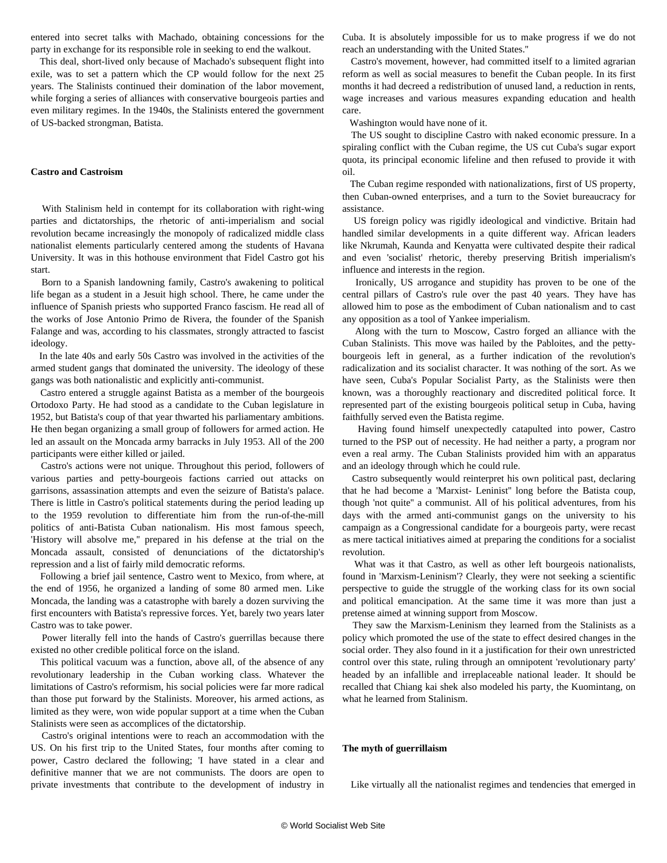entered into secret talks with Machado, obtaining concessions for the party in exchange for its responsible role in seeking to end the walkout.

 This deal, short-lived only because of Machado's subsequent flight into exile, was to set a pattern which the CP would follow for the next 25 years. The Stalinists continued their domination of the labor movement, while forging a series of alliances with conservative bourgeois parties and even military regimes. In the 1940s, the Stalinists entered the government of US-backed strongman, Batista.

#### **Castro and Castroism**

 With Stalinism held in contempt for its collaboration with right-wing parties and dictatorships, the rhetoric of anti-imperialism and social revolution became increasingly the monopoly of radicalized middle class nationalist elements particularly centered among the students of Havana University. It was in this hothouse environment that Fidel Castro got his start.

 Born to a Spanish landowning family, Castro's awakening to political life began as a student in a Jesuit high school. There, he came under the influence of Spanish priests who supported Franco fascism. He read all of the works of Jose Antonio Primo de Rivera, the founder of the Spanish Falange and was, according to his classmates, strongly attracted to fascist ideology.

 In the late 40s and early 50s Castro was involved in the activities of the armed student gangs that dominated the university. The ideology of these gangs was both nationalistic and explicitly anti-communist.

 Castro entered a struggle against Batista as a member of the bourgeois Ortodoxo Party. He had stood as a candidate to the Cuban legislature in 1952, but Batista's coup of that year thwarted his parliamentary ambitions. He then began organizing a small group of followers for armed action. He led an assault on the Moncada army barracks in July 1953. All of the 200 participants were either killed or jailed.

 Castro's actions were not unique. Throughout this period, followers of various parties and petty-bourgeois factions carried out attacks on garrisons, assassination attempts and even the seizure of Batista's palace. There is little in Castro's political statements during the period leading up to the 1959 revolution to differentiate him from the run-of-the-mill politics of anti-Batista Cuban nationalism. His most famous speech, 'History will absolve me,'' prepared in his defense at the trial on the Moncada assault, consisted of denunciations of the dictatorship's repression and a list of fairly mild democratic reforms.

 Following a brief jail sentence, Castro went to Mexico, from where, at the end of 1956, he organized a landing of some 80 armed men. Like Moncada, the landing was a catastrophe with barely a dozen surviving the first encounters with Batista's repressive forces. Yet, barely two years later Castro was to take power.

 Power literally fell into the hands of Castro's guerrillas because there existed no other credible political force on the island.

 This political vacuum was a function, above all, of the absence of any revolutionary leadership in the Cuban working class. Whatever the limitations of Castro's reformism, his social policies were far more radical than those put forward by the Stalinists. Moreover, his armed actions, as limited as they were, won wide popular support at a time when the Cuban Stalinists were seen as accomplices of the dictatorship.

 Castro's original intentions were to reach an accommodation with the US. On his first trip to the United States, four months after coming to power, Castro declared the following; 'I have stated in a clear and definitive manner that we are not communists. The doors are open to private investments that contribute to the development of industry in

Cuba. It is absolutely impossible for us to make progress if we do not reach an understanding with the United States.''

 Castro's movement, however, had committed itself to a limited agrarian reform as well as social measures to benefit the Cuban people. In its first months it had decreed a redistribution of unused land, a reduction in rents, wage increases and various measures expanding education and health care.

Washington would have none of it.

 The US sought to discipline Castro with naked economic pressure. In a spiraling conflict with the Cuban regime, the US cut Cuba's sugar export quota, its principal economic lifeline and then refused to provide it with oil.

 The Cuban regime responded with nationalizations, first of US property, then Cuban-owned enterprises, and a turn to the Soviet bureaucracy for assistance.

 US foreign policy was rigidly ideological and vindictive. Britain had handled similar developments in a quite different way. African leaders like Nkrumah, Kaunda and Kenyatta were cultivated despite their radical and even 'socialist' rhetoric, thereby preserving British imperialism's influence and interests in the region.

 Ironically, US arrogance and stupidity has proven to be one of the central pillars of Castro's rule over the past 40 years. They have has allowed him to pose as the embodiment of Cuban nationalism and to cast any opposition as a tool of Yankee imperialism.

 Along with the turn to Moscow, Castro forged an alliance with the Cuban Stalinists. This move was hailed by the Pabloites, and the pettybourgeois left in general, as a further indication of the revolution's radicalization and its socialist character. It was nothing of the sort. As we have seen, Cuba's Popular Socialist Party, as the Stalinists were then known, was a thoroughly reactionary and discredited political force. It represented part of the existing bourgeois political setup in Cuba, having faithfully served even the Batista regime.

 Having found himself unexpectedly catapulted into power, Castro turned to the PSP out of necessity. He had neither a party, a program nor even a real army. The Cuban Stalinists provided him with an apparatus and an ideology through which he could rule.

 Castro subsequently would reinterpret his own political past, declaring that he had become a 'Marxist- Leninist'' long before the Batista coup, though 'not quite'' a communist. All of his political adventures, from his days with the armed anti-communist gangs on the university to his campaign as a Congressional candidate for a bourgeois party, were recast as mere tactical initiatives aimed at preparing the conditions for a socialist revolution.

 What was it that Castro, as well as other left bourgeois nationalists, found in 'Marxism-Leninism'? Clearly, they were not seeking a scientific perspective to guide the struggle of the working class for its own social and political emancipation. At the same time it was more than just a pretense aimed at winning support from Moscow.

 They saw the Marxism-Leninism they learned from the Stalinists as a policy which promoted the use of the state to effect desired changes in the social order. They also found in it a justification for their own unrestricted control over this state, ruling through an omnipotent 'revolutionary party' headed by an infallible and irreplaceable national leader. It should be recalled that Chiang kai shek also modeled his party, the Kuomintang, on what he learned from Stalinism.

#### **The myth of guerrillaism**

Like virtually all the nationalist regimes and tendencies that emerged in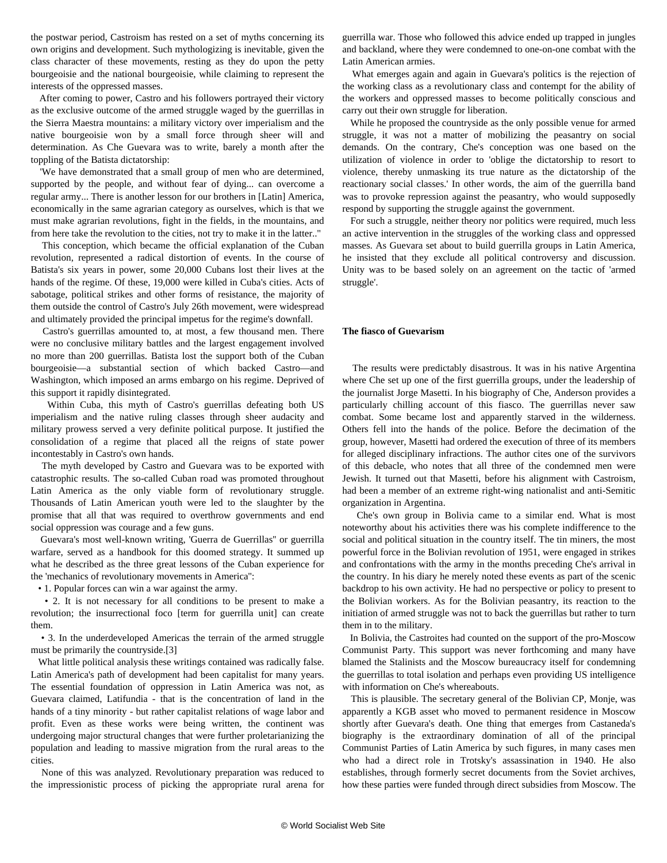the postwar period, Castroism has rested on a set of myths concerning its own origins and development. Such mythologizing is inevitable, given the class character of these movements, resting as they do upon the petty bourgeoisie and the national bourgeoisie, while claiming to represent the interests of the oppressed masses.

 After coming to power, Castro and his followers portrayed their victory as the exclusive outcome of the armed struggle waged by the guerrillas in the Sierra Maestra mountains: a military victory over imperialism and the native bourgeoisie won by a small force through sheer will and determination. As Che Guevara was to write, barely a month after the toppling of the Batista dictatorship:

 'We have demonstrated that a small group of men who are determined, supported by the people, and without fear of dying... can overcome a regular army... There is another lesson for our brothers in [Latin] America, economically in the same agrarian category as ourselves, which is that we must make agrarian revolutions, fight in the fields, in the mountains, and from here take the revolution to the cities, not try to make it in the latter..''

 This conception, which became the official explanation of the Cuban revolution, represented a radical distortion of events. In the course of Batista's six years in power, some 20,000 Cubans lost their lives at the hands of the regime. Of these, 19,000 were killed in Cuba's cities. Acts of sabotage, political strikes and other forms of resistance, the majority of them outside the control of Castro's July 26th movement, were widespread and ultimately provided the principal impetus for the regime's downfall.

 Castro's guerrillas amounted to, at most, a few thousand men. There were no conclusive military battles and the largest engagement involved no more than 200 guerrillas. Batista lost the support both of the Cuban bourgeoisie—a substantial section of which backed Castro—and Washington, which imposed an arms embargo on his regime. Deprived of this support it rapidly disintegrated.

 Within Cuba, this myth of Castro's guerrillas defeating both US imperialism and the native ruling classes through sheer audacity and military prowess served a very definite political purpose. It justified the consolidation of a regime that placed all the reigns of state power incontestably in Castro's own hands.

 The myth developed by Castro and Guevara was to be exported with catastrophic results. The so-called Cuban road was promoted throughout Latin America as the only viable form of revolutionary struggle. Thousands of Latin American youth were led to the slaughter by the promise that all that was required to overthrow governments and end social oppression was courage and a few guns.

 Guevara's most well-known writing, 'Guerra de Guerrillas'' or guerrilla warfare, served as a handbook for this doomed strategy. It summed up what he described as the three great lessons of the Cuban experience for the 'mechanics of revolutionary movements in America'':

• 1. Popular forces can win a war against the army.

 • 2. It is not necessary for all conditions to be present to make a revolution; the insurrectional foco [term for guerrilla unit] can create them.

 • 3. In the underdeveloped Americas the terrain of the armed struggle must be primarily the countryside.[3]

 What little political analysis these writings contained was radically false. Latin America's path of development had been capitalist for many years. The essential foundation of oppression in Latin America was not, as Guevara claimed, Latifundia - that is the concentration of land in the hands of a tiny minority - but rather capitalist relations of wage labor and profit. Even as these works were being written, the continent was undergoing major structural changes that were further proletarianizing the population and leading to massive migration from the rural areas to the cities.

 None of this was analyzed. Revolutionary preparation was reduced to the impressionistic process of picking the appropriate rural arena for

guerrilla war. Those who followed this advice ended up trapped in jungles and backland, where they were condemned to one-on-one combat with the Latin American armies.

 What emerges again and again in Guevara's politics is the rejection of the working class as a revolutionary class and contempt for the ability of the workers and oppressed masses to become politically conscious and carry out their own struggle for liberation.

 While he proposed the countryside as the only possible venue for armed struggle, it was not a matter of mobilizing the peasantry on social demands. On the contrary, Che's conception was one based on the utilization of violence in order to 'oblige the dictatorship to resort to violence, thereby unmasking its true nature as the dictatorship of the reactionary social classes.' In other words, the aim of the guerrilla band was to provoke repression against the peasantry, who would supposedly respond by supporting the struggle against the government.

 For such a struggle, neither theory nor politics were required, much less an active intervention in the struggles of the working class and oppressed masses. As Guevara set about to build guerrilla groups in Latin America, he insisted that they exclude all political controversy and discussion. Unity was to be based solely on an agreement on the tactic of 'armed struggle'.

#### **The fiasco of Guevarism**

 The results were predictably disastrous. It was in his native Argentina where Che set up one of the first guerrilla groups, under the leadership of the journalist Jorge Masetti. In his biography of Che, Anderson provides a particularly chilling account of this fiasco. The guerrillas never saw combat. Some became lost and apparently starved in the wilderness. Others fell into the hands of the police. Before the decimation of the group, however, Masetti had ordered the execution of three of its members for alleged disciplinary infractions. The author cites one of the survivors of this debacle, who notes that all three of the condemned men were Jewish. It turned out that Masetti, before his alignment with Castroism, had been a member of an extreme right-wing nationalist and anti-Semitic organization in Argentina.

 Che's own group in Bolivia came to a similar end. What is most noteworthy about his activities there was his complete indifference to the social and political situation in the country itself. The tin miners, the most powerful force in the Bolivian revolution of 1951, were engaged in strikes and confrontations with the army in the months preceding Che's arrival in the country. In his diary he merely noted these events as part of the scenic backdrop to his own activity. He had no perspective or policy to present to the Bolivian workers. As for the Bolivian peasantry, its reaction to the initiation of armed struggle was not to back the guerrillas but rather to turn them in to the military.

 In Bolivia, the Castroites had counted on the support of the pro-Moscow Communist Party. This support was never forthcoming and many have blamed the Stalinists and the Moscow bureaucracy itself for condemning the guerrillas to total isolation and perhaps even providing US intelligence with information on Che's whereabouts.

 This is plausible. The secretary general of the Bolivian CP, Monje, was apparently a KGB asset who moved to permanent residence in Moscow shortly after Guevara's death. One thing that emerges from Castaneda's biography is the extraordinary domination of all of the principal Communist Parties of Latin America by such figures, in many cases men who had a direct role in Trotsky's assassination in 1940. He also establishes, through formerly secret documents from the Soviet archives, how these parties were funded through direct subsidies from Moscow. The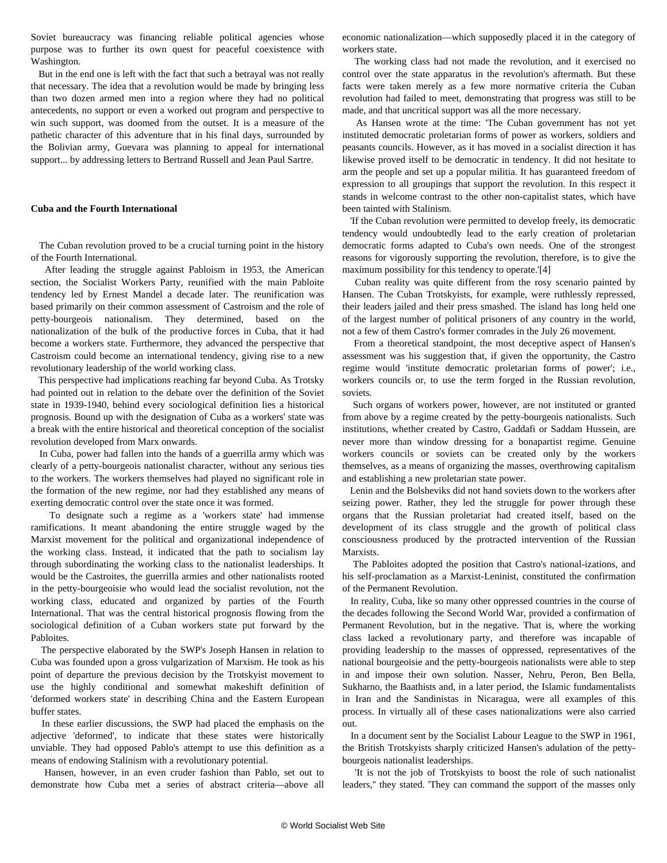Soviet bureaucracy was financing reliable political agencies whose purpose was to further its own quest for peaceful coexistence with Washington.

 But in the end one is left with the fact that such a betrayal was not really that necessary. The idea that a revolution would be made by bringing less than two dozen armed men into a region where they had no political antecedents, no support or even a worked out program and perspective to win such support, was doomed from the outset. It is a measure of the pathetic character of this adventure that in his final days, surrounded by the Bolivian army, Guevara was planning to appeal for international support... by addressing letters to Bertrand Russell and Jean Paul Sartre.

#### **Cuba and the Fourth International**

 The Cuban revolution proved to be a crucial turning point in the history of the Fourth International.

 After leading the struggle against Pabloism in 1953, the American section, the Socialist Workers Party, reunified with the main Pabloite tendency led by Ernest Mandel a decade later. The reunification was based primarily on their common assessment of Castroism and the role of petty-bourgeois nationalism. They determined, based on the nationalization of the bulk of the productive forces in Cuba, that it had become a workers state. Furthermore, they advanced the perspective that Castroism could become an international tendency, giving rise to a new revolutionary leadership of the world working class.

 This perspective had implications reaching far beyond Cuba. As Trotsky had pointed out in relation to the debate over the definition of the Soviet state in 1939-1940, behind every sociological definition lies a historical prognosis. Bound up with the designation of Cuba as a workers' state was a break with the entire historical and theoretical conception of the socialist revolution developed from Marx onwards.

 In Cuba, power had fallen into the hands of a guerrilla army which was clearly of a petty-bourgeois nationalist character, without any serious ties to the workers. The workers themselves had played no significant role in the formation of the new regime, nor had they established any means of exerting democratic control over the state once it was formed.

 To designate such a regime as a 'workers state' had immense ramifications. It meant abandoning the entire struggle waged by the Marxist movement for the political and organizational independence of the working class. Instead, it indicated that the path to socialism lay through subordinating the working class to the nationalist leaderships. It would be the Castroites, the guerrilla armies and other nationalists rooted in the petty-bourgeoisie who would lead the socialist revolution, not the working class, educated and organized by parties of the Fourth International. That was the central historical prognosis flowing from the sociological definition of a Cuban workers state put forward by the Pabloites.

 The perspective elaborated by the SWP's Joseph Hansen in relation to Cuba was founded upon a gross vulgarization of Marxism. He took as his point of departure the previous decision by the Trotskyist movement to use the highly conditional and somewhat makeshift definition of 'deformed workers state' in describing China and the Eastern European buffer states.

 In these earlier discussions, the SWP had placed the emphasis on the adjective 'deformed', to indicate that these states were historically unviable. They had opposed Pablo's attempt to use this definition as a means of endowing Stalinism with a revolutionary potential.

 Hansen, however, in an even cruder fashion than Pablo, set out to demonstrate how Cuba met a series of abstract criteria—above all economic nationalization—which supposedly placed it in the category of workers state.

 The working class had not made the revolution, and it exercised no control over the state apparatus in the revolution's aftermath. But these facts were taken merely as a few more normative criteria the Cuban revolution had failed to meet, demonstrating that progress was still to be made, and that uncritical support was all the more necessary.

 As Hansen wrote at the time: 'The Cuban government has not yet instituted democratic proletarian forms of power as workers, soldiers and peasants councils. However, as it has moved in a socialist direction it has likewise proved itself to be democratic in tendency. It did not hesitate to arm the people and set up a popular militia. It has guaranteed freedom of expression to all groupings that support the revolution. In this respect it stands in welcome contrast to the other non-capitalist states, which have been tainted with Stalinism.

 'If the Cuban revolution were permitted to develop freely, its democratic tendency would undoubtedly lead to the early creation of proletarian democratic forms adapted to Cuba's own needs. One of the strongest reasons for vigorously supporting the revolution, therefore, is to give the maximum possibility for this tendency to operate.'[4]

 Cuban reality was quite different from the rosy scenario painted by Hansen. The Cuban Trotskyists, for example, were ruthlessly repressed, their leaders jailed and their press smashed. The island has long held one of the largest number of political prisoners of any country in the world, not a few of them Castro's former comrades in the July 26 movement.

 From a theoretical standpoint, the most deceptive aspect of Hansen's assessment was his suggestion that, if given the opportunity, the Castro regime would 'institute democratic proletarian forms of power'; i.e., workers councils or, to use the term forged in the Russian revolution, soviets.

 Such organs of workers power, however, are not instituted or granted from above by a regime created by the petty-bourgeois nationalists. Such institutions, whether created by Castro, Gaddafi or Saddam Hussein, are never more than window dressing for a bonapartist regime. Genuine workers councils or soviets can be created only by the workers themselves, as a means of organizing the masses, overthrowing capitalism and establishing a new proletarian state power.

 Lenin and the Bolsheviks did not hand soviets down to the workers after seizing power. Rather, they led the struggle for power through these organs that the Russian proletariat had created itself, based on the development of its class struggle and the growth of political class consciousness produced by the protracted intervention of the Russian Marxists.

 The Pabloites adopted the position that Castro's national-izations, and his self-proclamation as a Marxist-Leninist, constituted the confirmation of the Permanent Revolution.

 In reality, Cuba, like so many other oppressed countries in the course of the decades following the Second World War, provided a confirmation of Permanent Revolution, but in the negative. That is, where the working class lacked a revolutionary party, and therefore was incapable of providing leadership to the masses of oppressed, representatives of the national bourgeoisie and the petty-bourgeois nationalists were able to step in and impose their own solution. Nasser, Nehru, Peron, Ben Bella, Sukharno, the Baathists and, in a later period, the Islamic fundamentalists in Iran and the Sandinistas in Nicaragua, were all examples of this process. In virtually all of these cases nationalizations were also carried out.

 In a document sent by the Socialist Labour League to the SWP in 1961, the British Trotskyists sharply criticized Hansen's adulation of the pettybourgeois nationalist leaderships.

 'It is not the job of Trotskyists to boost the role of such nationalist leaders,'' they stated. 'They can command the support of the masses only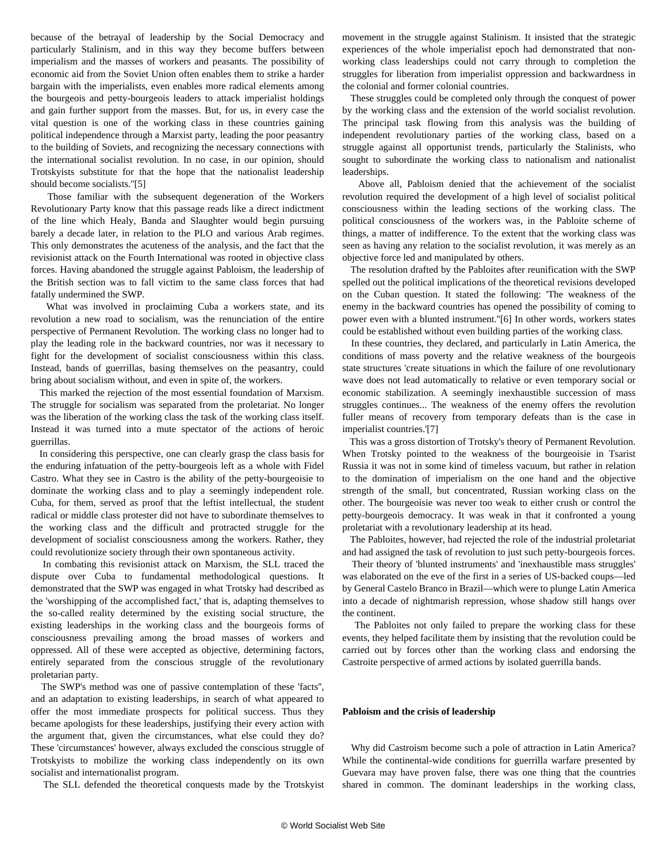because of the betrayal of leadership by the Social Democracy and particularly Stalinism, and in this way they become buffers between imperialism and the masses of workers and peasants. The possibility of economic aid from the Soviet Union often enables them to strike a harder bargain with the imperialists, even enables more radical elements among the bourgeois and petty-bourgeois leaders to attack imperialist holdings and gain further support from the masses. But, for us, in every case the vital question is one of the working class in these countries gaining political independence through a Marxist party, leading the poor peasantry to the building of Soviets, and recognizing the necessary connections with the international socialist revolution. In no case, in our opinion, should Trotskyists substitute for that the hope that the nationalist leadership should become socialists.''[5]

 Those familiar with the subsequent degeneration of the Workers Revolutionary Party know that this passage reads like a direct indictment of the line which Healy, Banda and Slaughter would begin pursuing barely a decade later, in relation to the PLO and various Arab regimes. This only demonstrates the acuteness of the analysis, and the fact that the revisionist attack on the Fourth International was rooted in objective class forces. Having abandoned the struggle against Pabloism, the leadership of the British section was to fall victim to the same class forces that had fatally undermined the SWP.

 What was involved in proclaiming Cuba a workers state, and its revolution a new road to socialism, was the renunciation of the entire perspective of Permanent Revolution. The working class no longer had to play the leading role in the backward countries, nor was it necessary to fight for the development of socialist consciousness within this class. Instead, bands of guerrillas, basing themselves on the peasantry, could bring about socialism without, and even in spite of, the workers.

 This marked the rejection of the most essential foundation of Marxism. The struggle for socialism was separated from the proletariat. No longer was the liberation of the working class the task of the working class itself. Instead it was turned into a mute spectator of the actions of heroic guerrillas.

 In considering this perspective, one can clearly grasp the class basis for the enduring infatuation of the petty-bourgeois left as a whole with Fidel Castro. What they see in Castro is the ability of the petty-bourgeoisie to dominate the working class and to play a seemingly independent role. Cuba, for them, served as proof that the leftist intellectual, the student radical or middle class protester did not have to subordinate themselves to the working class and the difficult and protracted struggle for the development of socialist consciousness among the workers. Rather, they could revolutionize society through their own spontaneous activity.

 In combating this revisionist attack on Marxism, the SLL traced the dispute over Cuba to fundamental methodological questions. It demonstrated that the SWP was engaged in what Trotsky had described as the 'worshipping of the accomplished fact,' that is, adapting themselves to the so-called reality determined by the existing social structure, the existing leaderships in the working class and the bourgeois forms of consciousness prevailing among the broad masses of workers and oppressed. All of these were accepted as objective, determining factors, entirely separated from the conscious struggle of the revolutionary proletarian party.

 The SWP's method was one of passive contemplation of these 'facts'', and an adaptation to existing leaderships, in search of what appeared to offer the most immediate prospects for political success. Thus they became apologists for these leaderships, justifying their every action with the argument that, given the circumstances, what else could they do? These 'circumstances' however, always excluded the conscious struggle of Trotskyists to mobilize the working class independently on its own socialist and internationalist program.

The SLL defended the theoretical conquests made by the Trotskyist

movement in the struggle against Stalinism. It insisted that the strategic experiences of the whole imperialist epoch had demonstrated that nonworking class leaderships could not carry through to completion the struggles for liberation from imperialist oppression and backwardness in the colonial and former colonial countries.

 These struggles could be completed only through the conquest of power by the working class and the extension of the world socialist revolution. The principal task flowing from this analysis was the building of independent revolutionary parties of the working class, based on a struggle against all opportunist trends, particularly the Stalinists, who sought to subordinate the working class to nationalism and nationalist leaderships.

 Above all, Pabloism denied that the achievement of the socialist revolution required the development of a high level of socialist political consciousness within the leading sections of the working class. The political consciousness of the workers was, in the Pabloite scheme of things, a matter of indifference. To the extent that the working class was seen as having any relation to the socialist revolution, it was merely as an objective force led and manipulated by others.

 The resolution drafted by the Pabloites after reunification with the SWP spelled out the political implications of the theoretical revisions developed on the Cuban question. It stated the following: 'The weakness of the enemy in the backward countries has opened the possibility of coming to power even with a blunted instrument.''[6] In other words, workers states could be established without even building parties of the working class.

 In these countries, they declared, and particularly in Latin America, the conditions of mass poverty and the relative weakness of the bourgeois state structures 'create situations in which the failure of one revolutionary wave does not lead automatically to relative or even temporary social or economic stabilization. A seemingly inexhaustible succession of mass struggles continues... The weakness of the enemy offers the revolution fuller means of recovery from temporary defeats than is the case in imperialist countries.'[7]

 This was a gross distortion of Trotsky's theory of Permanent Revolution. When Trotsky pointed to the weakness of the bourgeoisie in Tsarist Russia it was not in some kind of timeless vacuum, but rather in relation to the domination of imperialism on the one hand and the objective strength of the small, but concentrated, Russian working class on the other. The bourgeoisie was never too weak to either crush or control the petty-bourgeois democracy. It was weak in that it confronted a young proletariat with a revolutionary leadership at its head.

 The Pabloites, however, had rejected the role of the industrial proletariat and had assigned the task of revolution to just such petty-bourgeois forces.

 Their theory of 'blunted instruments' and 'inexhaustible mass struggles' was elaborated on the eve of the first in a series of US-backed coups—led by General Castelo Branco in Brazil—which were to plunge Latin America into a decade of nightmarish repression, whose shadow still hangs over the continent.

 The Pabloites not only failed to prepare the working class for these events, they helped facilitate them by insisting that the revolution could be carried out by forces other than the working class and endorsing the Castroite perspective of armed actions by isolated guerrilla bands.

#### **Pabloism and the crisis of leadership**

 Why did Castroism become such a pole of attraction in Latin America? While the continental-wide conditions for guerrilla warfare presented by Guevara may have proven false, there was one thing that the countries shared in common. The dominant leaderships in the working class,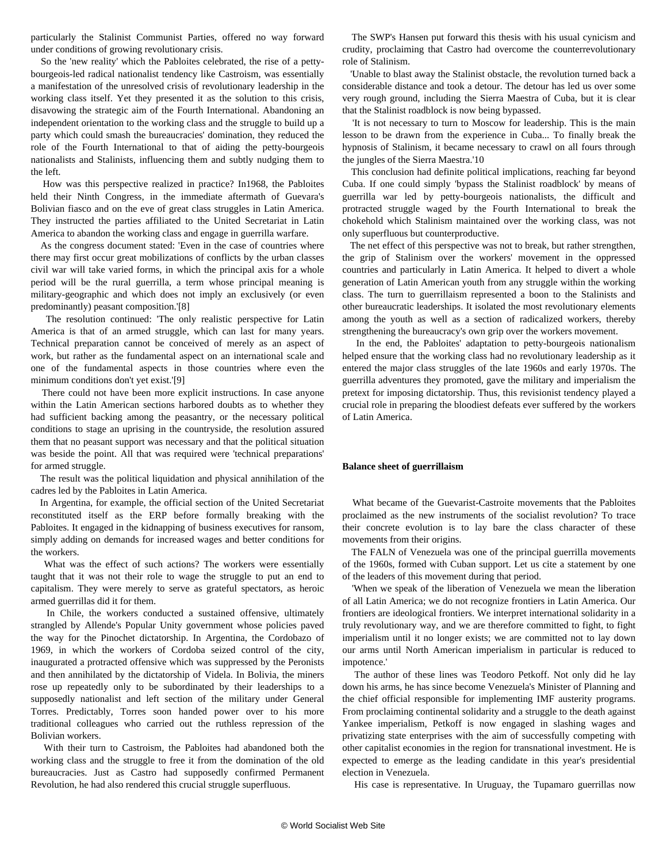particularly the Stalinist Communist Parties, offered no way forward under conditions of growing revolutionary crisis.

 So the 'new reality' which the Pabloites celebrated, the rise of a pettybourgeois-led radical nationalist tendency like Castroism, was essentially a manifestation of the unresolved crisis of revolutionary leadership in the working class itself. Yet they presented it as the solution to this crisis, disavowing the strategic aim of the Fourth International. Abandoning an independent orientation to the working class and the struggle to build up a party which could smash the bureaucracies' domination, they reduced the role of the Fourth International to that of aiding the petty-bourgeois nationalists and Stalinists, influencing them and subtly nudging them to the left.

 How was this perspective realized in practice? In1968, the Pabloites held their Ninth Congress, in the immediate aftermath of Guevara's Bolivian fiasco and on the eve of great class struggles in Latin America. They instructed the parties affiliated to the United Secretariat in Latin America to abandon the working class and engage in guerrilla warfare.

 As the congress document stated: 'Even in the case of countries where there may first occur great mobilizations of conflicts by the urban classes civil war will take varied forms, in which the principal axis for a whole period will be the rural guerrilla, a term whose principal meaning is military-geographic and which does not imply an exclusively (or even predominantly) peasant composition.'[8]

 The resolution continued: 'The only realistic perspective for Latin America is that of an armed struggle, which can last for many years. Technical preparation cannot be conceived of merely as an aspect of work, but rather as the fundamental aspect on an international scale and one of the fundamental aspects in those countries where even the minimum conditions don't yet exist.'[9]

 There could not have been more explicit instructions. In case anyone within the Latin American sections harbored doubts as to whether they had sufficient backing among the peasantry, or the necessary political conditions to stage an uprising in the countryside, the resolution assured them that no peasant support was necessary and that the political situation was beside the point. All that was required were 'technical preparations' for armed struggle.

 The result was the political liquidation and physical annihilation of the cadres led by the Pabloites in Latin America.

 In Argentina, for example, the official section of the United Secretariat reconstituted itself as the ERP before formally breaking with the Pabloites. It engaged in the kidnapping of business executives for ransom, simply adding on demands for increased wages and better conditions for the workers.

 What was the effect of such actions? The workers were essentially taught that it was not their role to wage the struggle to put an end to capitalism. They were merely to serve as grateful spectators, as heroic armed guerrillas did it for them.

 In Chile, the workers conducted a sustained offensive, ultimately strangled by Allende's Popular Unity government whose policies paved the way for the Pinochet dictatorship. In Argentina, the Cordobazo of 1969, in which the workers of Cordoba seized control of the city, inaugurated a protracted offensive which was suppressed by the Peronists and then annihilated by the dictatorship of Videla. In Bolivia, the miners rose up repeatedly only to be subordinated by their leaderships to a supposedly nationalist and left section of the military under General Torres. Predictably, Torres soon handed power over to his more traditional colleagues who carried out the ruthless repression of the Bolivian workers.

 With their turn to Castroism, the Pabloites had abandoned both the working class and the struggle to free it from the domination of the old bureaucracies. Just as Castro had supposedly confirmed Permanent Revolution, he had also rendered this crucial struggle superfluous.

 The SWP's Hansen put forward this thesis with his usual cynicism and crudity, proclaiming that Castro had overcome the counterrevolutionary role of Stalinism.

 'Unable to blast away the Stalinist obstacle, the revolution turned back a considerable distance and took a detour. The detour has led us over some very rough ground, including the Sierra Maestra of Cuba, but it is clear that the Stalinist roadblock is now being bypassed.

 'It is not necessary to turn to Moscow for leadership. This is the main lesson to be drawn from the experience in Cuba... To finally break the hypnosis of Stalinism, it became necessary to crawl on all fours through the jungles of the Sierra Maestra.'10

 This conclusion had definite political implications, reaching far beyond Cuba. If one could simply 'bypass the Stalinist roadblock' by means of guerrilla war led by petty-bourgeois nationalists, the difficult and protracted struggle waged by the Fourth International to break the chokehold which Stalinism maintained over the working class, was not only superfluous but counterproductive.

 The net effect of this perspective was not to break, but rather strengthen, the grip of Stalinism over the workers' movement in the oppressed countries and particularly in Latin America. It helped to divert a whole generation of Latin American youth from any struggle within the working class. The turn to guerrillaism represented a boon to the Stalinists and other bureaucratic leaderships. It isolated the most revolutionary elements among the youth as well as a section of radicalized workers, thereby strengthening the bureaucracy's own grip over the workers movement.

 In the end, the Pabloites' adaptation to petty-bourgeois nationalism helped ensure that the working class had no revolutionary leadership as it entered the major class struggles of the late 1960s and early 1970s. The guerrilla adventures they promoted, gave the military and imperialism the pretext for imposing dictatorship. Thus, this revisionist tendency played a crucial role in preparing the bloodiest defeats ever suffered by the workers of Latin America.

#### **Balance sheet of guerrillaism**

 What became of the Guevarist-Castroite movements that the Pabloites proclaimed as the new instruments of the socialist revolution? To trace their concrete evolution is to lay bare the class character of these movements from their origins.

 The FALN of Venezuela was one of the principal guerrilla movements of the 1960s, formed with Cuban support. Let us cite a statement by one of the leaders of this movement during that period.

 'When we speak of the liberation of Venezuela we mean the liberation of all Latin America; we do not recognize frontiers in Latin America. Our frontiers are ideological frontiers. We interpret international solidarity in a truly revolutionary way, and we are therefore committed to fight, to fight imperialism until it no longer exists; we are committed not to lay down our arms until North American imperialism in particular is reduced to impotence.'

 The author of these lines was Teodoro Petkoff. Not only did he lay down his arms, he has since become Venezuela's Minister of Planning and the chief official responsible for implementing IMF austerity programs. From proclaiming continental solidarity and a struggle to the death against Yankee imperialism, Petkoff is now engaged in slashing wages and privatizing state enterprises with the aim of successfully competing with other capitalist economies in the region for transnational investment. He is expected to emerge as the leading candidate in this year's presidential election in Venezuela.

His case is representative. In Uruguay, the Tupamaro guerrillas now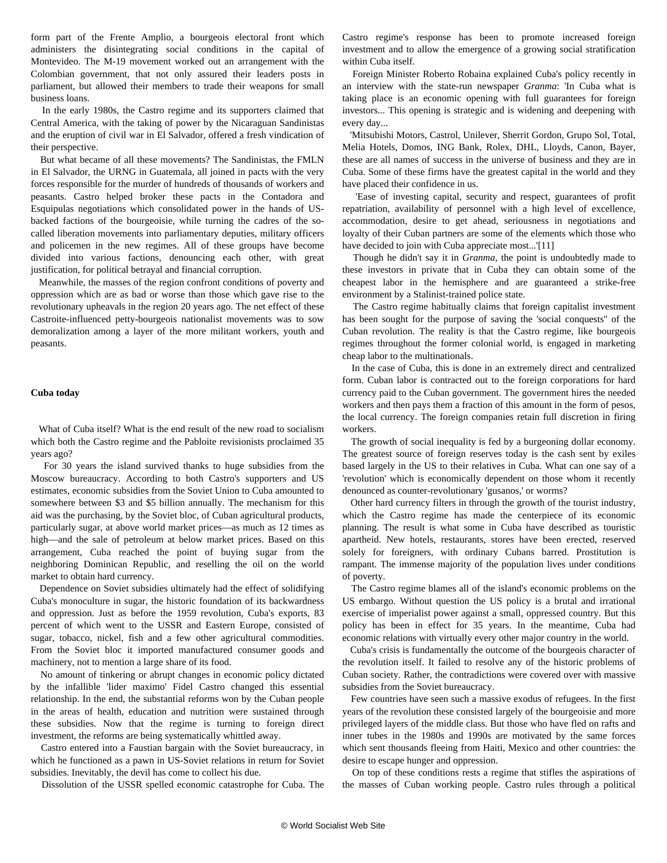form part of the Frente Amplio, a bourgeois electoral front which administers the disintegrating social conditions in the capital of Montevideo. The M-19 movement worked out an arrangement with the Colombian government, that not only assured their leaders posts in parliament, but allowed their members to trade their weapons for small business loans.

 In the early 1980s, the Castro regime and its supporters claimed that Central America, with the taking of power by the Nicaraguan Sandinistas and the eruption of civil war in El Salvador, offered a fresh vindication of their perspective.

 But what became of all these movements? The Sandinistas, the FMLN in El Salvador, the URNG in Guatemala, all joined in pacts with the very forces responsible for the murder of hundreds of thousands of workers and peasants. Castro helped broker these pacts in the Contadora and Esquipulas negotiations which consolidated power in the hands of USbacked factions of the bourgeoisie, while turning the cadres of the socalled liberation movements into parliamentary deputies, military officers and policemen in the new regimes. All of these groups have become divided into various factions, denouncing each other, with great justification, for political betrayal and financial corruption.

 Meanwhile, the masses of the region confront conditions of poverty and oppression which are as bad or worse than those which gave rise to the revolutionary upheavals in the region 20 years ago. The net effect of these Castroite-influenced petty-bourgeois nationalist movements was to sow demoralization among a layer of the more militant workers, youth and peasants.

#### **Cuba today**

 What of Cuba itself? What is the end result of the new road to socialism which both the Castro regime and the Pabloite revisionists proclaimed 35 years ago?

 For 30 years the island survived thanks to huge subsidies from the Moscow bureaucracy. According to both Castro's supporters and US estimates, economic subsidies from the Soviet Union to Cuba amounted to somewhere between \$3 and \$5 billion annually. The mechanism for this aid was the purchasing, by the Soviet bloc, of Cuban agricultural products, particularly sugar, at above world market prices—as much as 12 times as high—and the sale of petroleum at below market prices. Based on this arrangement, Cuba reached the point of buying sugar from the neighboring Dominican Republic, and reselling the oil on the world market to obtain hard currency.

 Dependence on Soviet subsidies ultimately had the effect of solidifying Cuba's monoculture in sugar, the historic foundation of its backwardness and oppression. Just as before the 1959 revolution, Cuba's exports, 83 percent of which went to the USSR and Eastern Europe, consisted of sugar, tobacco, nickel, fish and a few other agricultural commodities. From the Soviet bloc it imported manufactured consumer goods and machinery, not to mention a large share of its food.

 No amount of tinkering or abrupt changes in economic policy dictated by the infallible 'lider maximo' Fidel Castro changed this essential relationship. In the end, the substantial reforms won by the Cuban people in the areas of health, education and nutrition were sustained through these subsidies. Now that the regime is turning to foreign direct investment, the reforms are being systematically whittled away.

 Castro entered into a Faustian bargain with the Soviet bureaucracy, in which he functioned as a pawn in US-Soviet relations in return for Soviet subsidies. Inevitably, the devil has come to collect his due.

Dissolution of the USSR spelled economic catastrophe for Cuba. The

Castro regime's response has been to promote increased foreign investment and to allow the emergence of a growing social stratification within Cuba itself.

 Foreign Minister Roberto Robaina explained Cuba's policy recently in an interview with the state-run newspaper *Granma*: 'In Cuba what is taking place is an economic opening with full guarantees for foreign investors... This opening is strategic and is widening and deepening with every day...

 'Mitsubishi Motors, Castrol, Unilever, Sherrit Gordon, Grupo Sol, Total, Melia Hotels, Domos, ING Bank, Rolex, DHL, Lloyds, Canon, Bayer, these are all names of success in the universe of business and they are in Cuba. Some of these firms have the greatest capital in the world and they have placed their confidence in us.

 'Ease of investing capital, security and respect, guarantees of profit repatriation, availability of personnel with a high level of excellence, accommodation, desire to get ahead, seriousness in negotiations and loyalty of their Cuban partners are some of the elements which those who have decided to join with Cuba appreciate most...'[11]

 Though he didn't say it in *Granma*, the point is undoubtedly made to these investors in private that in Cuba they can obtain some of the cheapest labor in the hemisphere and are guaranteed a strike-free environment by a Stalinist-trained police state.

 The Castro regime habitually claims that foreign capitalist investment has been sought for the purpose of saving the 'social conquests'' of the Cuban revolution. The reality is that the Castro regime, like bourgeois regimes throughout the former colonial world, is engaged in marketing cheap labor to the multinationals.

 In the case of Cuba, this is done in an extremely direct and centralized form. Cuban labor is contracted out to the foreign corporations for hard currency paid to the Cuban government. The government hires the needed workers and then pays them a fraction of this amount in the form of pesos, the local currency. The foreign companies retain full discretion in firing workers.

 The growth of social inequality is fed by a burgeoning dollar economy. The greatest source of foreign reserves today is the cash sent by exiles based largely in the US to their relatives in Cuba. What can one say of a 'revolution' which is economically dependent on those whom it recently denounced as counter-revolutionary 'gusanos,' or worms?

 Other hard currency filters in through the growth of the tourist industry, which the Castro regime has made the centerpiece of its economic planning. The result is what some in Cuba have described as touristic apartheid. New hotels, restaurants, stores have been erected, reserved solely for foreigners, with ordinary Cubans barred. Prostitution is rampant. The immense majority of the population lives under conditions of poverty.

 The Castro regime blames all of the island's economic problems on the US embargo. Without question the US policy is a brutal and irrational exercise of imperialist power against a small, oppressed country. But this policy has been in effect for 35 years. In the meantime, Cuba had economic relations with virtually every other major country in the world.

 Cuba's crisis is fundamentally the outcome of the bourgeois character of the revolution itself. It failed to resolve any of the historic problems of Cuban society. Rather, the contradictions were covered over with massive subsidies from the Soviet bureaucracy.

 Few countries have seen such a massive exodus of refugees. In the first years of the revolution these consisted largely of the bourgeoisie and more privileged layers of the middle class. But those who have fled on rafts and inner tubes in the 1980s and 1990s are motivated by the same forces which sent thousands fleeing from Haiti, Mexico and other countries: the desire to escape hunger and oppression.

 On top of these conditions rests a regime that stifles the aspirations of the masses of Cuban working people. Castro rules through a political